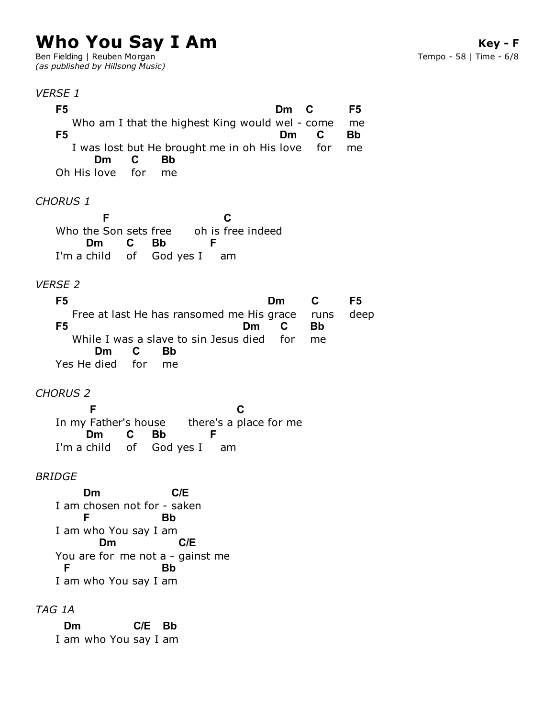# **Who You Say I Am**

Ben Fielding | Reuben Morgan *(as published by Hillsong Music)*

#### *VERSE 1*

Who am I that the highest King would wel - come I was lost but He brought me in oh His love for Oh His love *CHORUS 1* **F5 Dm C** me **F5 F5 Dm C** me **Bb Dm** for **C** me **Bb**

Who the Son sets free oh is free indeed I'm a child of God yes I am **F** oh is free indeed **C** I'm a child **Dm** of **C Bb F**

#### *VERSE 2*

Free at last He has ransomed me His grace While I was a slave to sin Jesus died for Yes He died for **F5 Dm** runs **C** deep **F5 F5 Dm C** me **Bb Dm C** me **Bb**

#### *CHORUS 2*

In my Father's house there's a place for me I'm a child of God yes I am In my Father's house **F C** I'm a child **Dm** of **C Bb F**

#### *BRIDGE*

I am chosen not for - saken I am who You say I am You are for me not a - gainst me I am who You say I am **Dm C/E F Bb Dm C/E F Bb**

### *TAG 1A*

I am who You say I am **Dm C/E Bb**